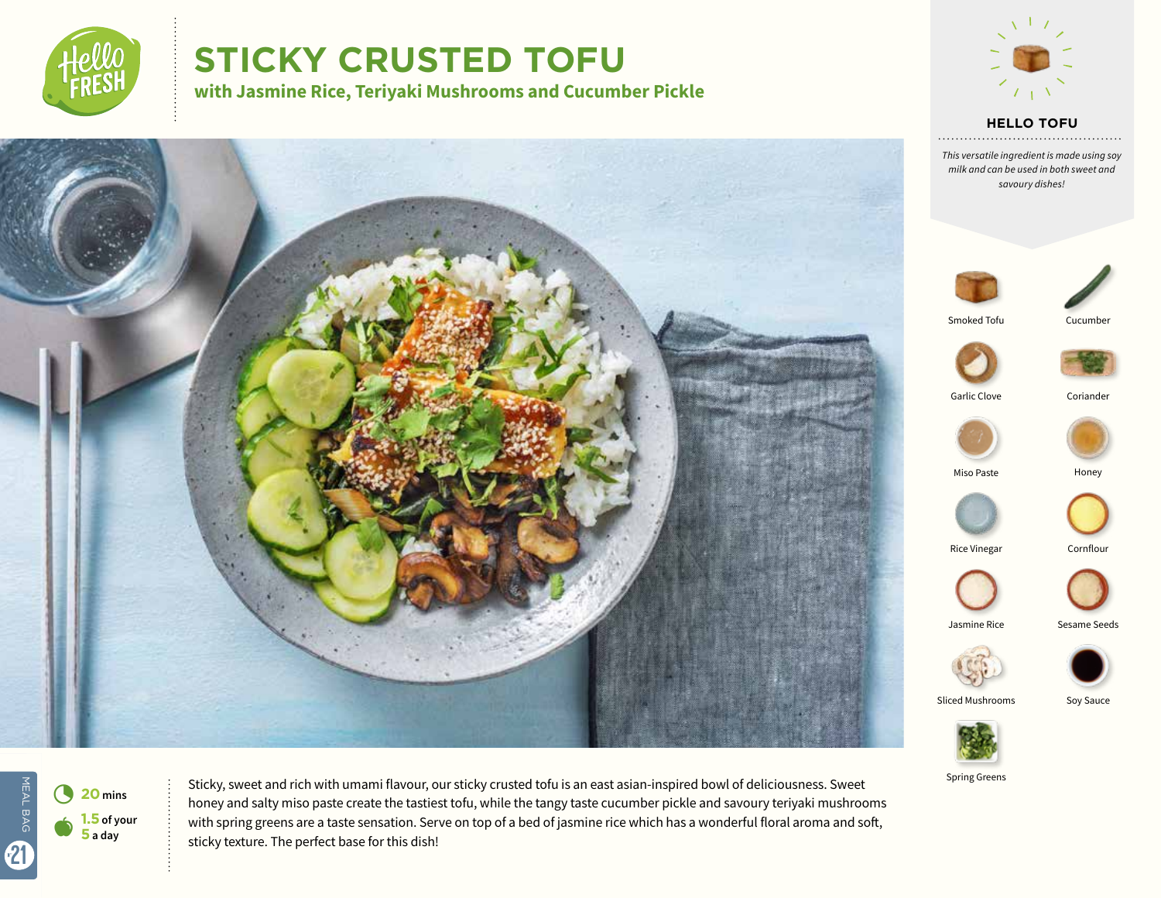

# **STICKY CRUSTED TOFU**

**with Jasmine Rice, Teriyaki Mushrooms and Cucumber Pickle**



**HELLO TOFU**

*This versatile ingredient is made using soy milk and can be used in both sweet and savoury dishes!*



. . . . . . .



Smoked Tofu Cucumber







Miso Paste **Honey** 







Sliced Mushrooms Soy Sauce



Spring Greens



4 **<sup>20</sup> mins 1.5 of your 5 a day**

Sticky, sweet and rich with umami flavour, our sticky crusted tofu is an east asian-inspired bowl of deliciousness. Sweet honey and salty miso paste create the tastiest tofu, while the tangy taste cucumber pickle and savoury teriyaki mushrooms with spring greens are a taste sensation. Serve on top of a bed of jasmine rice which has a wonderful floral aroma and soft, sticky texture. The perfect base for this dish!